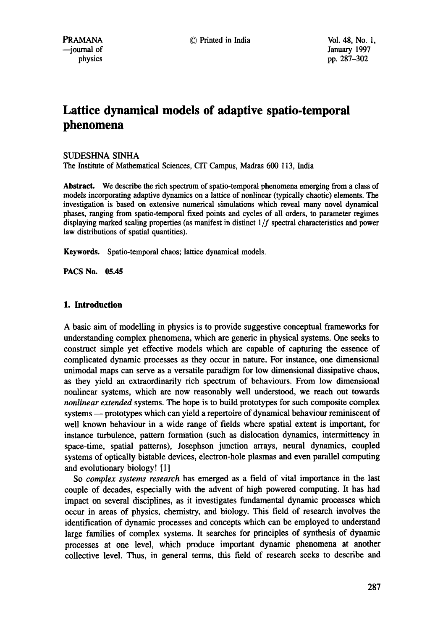# **Lattice dynamical models of adaptive spatio-temporal phenomena**

### SUDESHNA SINHA

The Institute of Mathematical Sciences, CIT Campus, Madras 600 113, India

**Abstract.** We describe the rich spectrum of spatio-temporal phenomena emerging from a class of models incorporating adaptive dynamics on a lattice of nonlinear (typically chaotic) elements. The investigation is based on extensive numerical simulations which reveal many novel dynamical phases, ranging from spatio-temporal fixed points and cycles of all orders, to parameter regimes displaying marked scaling properties (as manifest in distinct *1If* spectral characteristics and power law distributions of spatial quantities).

Keywords. Spatio-temporal chaos; lattice dynamical models.

**PACS No. 05.45** 

# **1. Introduction**

A basic aim of modelling in physics is to provide suggestive conceptual frameworks for understanding complex phenomena, which are generic in physical systems. One seeks to construct simple yet effective models which are capable of capturing the essence of complicated dynamic processes as they occur in nature. For instance, one dimensional unimodal maps can serve as a versatile paradigm for low dimensional dissipative chaos, as they yield an extraordinarily rich spectrum of behaviours. From low dimensional nonlinear systems, which are now reasonably well understood, we reach out towards *nonlinear extended* systems. The hope is to build prototypes for such composite complex systems -- prototypes which can yield a repertoire of dynamical behaviour reminiscent of well known behaviour in a wide range of fields where spatial extent is important, for instance turbulence, pattern formation (such as dislocation dynamics, intermittency in space-time, spatial patterns), Josephson junction arrays, neural dynamics, coupled systems of optically bistable devices, electron-hole plasmas and even parallel computing and evolutionary biology! [1]

So *complex systems research* has emerged as a field of vital importance in the last couple of decades, especially with the advent of high powered computing. It has had impact on several disciplines, as it investigates fundamental dynamic processes which occur in areas of physics, chemistry, and biology. This field of research involves the identification of dynamic processes and concepts which can be employed to understand large families of complex systems. It searches for principles of synthesis of dynamic processes at one level, which produce important dynamic phenomena at another collective level. Thus, in general terms, this field of research seeks to describe and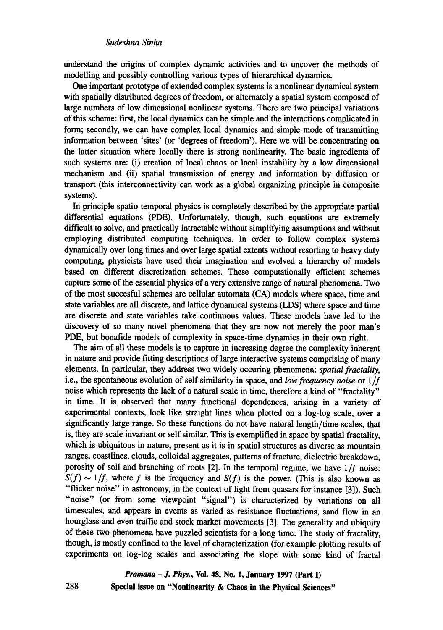### *Sudeshna Sinha*

understand the origins of complex dynamic activities and to uncover the methods of modelling and possibly controlling various types of hierarchical dynamics.

One important prototype of extended complex systems is a nonlinear dynamical system with spatially distributed degrees of freedom, or alternately a spatial system composed of large numbers of low dimensional nonlinear systems. There are two principal variations of this scheme: first, the local dynamics can be simple and the interactions complicated in form; secondly, we can have complex local dynamics and simple mode of transmitting information between 'sites' (or 'degrees of freedom'). Here we will be concentrating on the latter situation where locally there is strong nonlinearity. The basic ingredients of such systems are: (i) creation of local chaos or local instability by a low dimensional mechanism and (ii) spatial transmission of energy and information by diffusion or transport (this interconnectivity can work as a global organizing principle in composite systems).

In principle spatio-temporal physics is completely described by the appropriate partial differential equations (PDE). Unfortunately, though, such equations are extremely difficult to solve, and practically intractable without simplifying assumptions and without employing distributed computing techniques. In order to follow complex systems dynamically over long times and over large spatial extents without resorting to heavy duty computing, physicists have used their imagination and evolved a hierarchy of models based on different discretization schemes. These computationally efficient schemes capture some of the essential physics of a very extensive range of natural phenomena. Two of the most succesful schemes are cellular automata (CA) models where space, time and state variables are all discrete, and lattice dynamical systems (LDS) where space and time are discrete and state variables take continuous values. These models have led to the discovery of so many novel phenomena that they are now not merely the poor man's PDE, but bonafide models of complexity in space-time dynamics in their own right.

The aim of all these models is to capture in increasing degree the complexity inherent in nature and provide fitting descriptions of large interactive systems comprising of many elements. In particular, they address two widely occuring phenomena: *spatial fractality,*  i.e., the spontaneous evolution of self similarity in space, and *low frequency noise* or 1/f noise which represents the lack of a natural scale in time, therefore a kind of "fractality" in time. It is observed that many functional dependences, arising in a variety of experimental contexts, look like straight lines when plotted on a log-log scale, over a significantly large range. So these functions do not have natural length/time scales, that is, they are scale invariant or self similar. This is exemplified in space by spatial fractality, which is ubiquitous in nature, present as it is in spatial structures as diverse as mountain ranges, coastlines, clouds, colloidal aggregates, patterns of fracture, dielectric breakdown, porosity of soil and branching of roots  $[2]$ . In the temporal regime, we have  $1/f$  noise:  $S(f) \sim 1/f$ , where f is the frequency and  $S(f)$  is the power. (This is also known as "flicker noise" in astronomy, in the context of light from quasars for instance [3]). Such "noise" (or from some viewpoint "signal") is characterized by variations on all timescales, and appears in events as varied as resistance fluctuations, sand flow in an hourglass and even traffic and stock market movements [3]. The generality and ubiquity of these two phenomena have puzzled scientists for a long time. The study of fractality, though, is mostly confined to the level of characterization (for example plotting results of experiments on log-log scales and associating the slope with some kind of fractal

> *Pramana - J. Phys.,* **Vol. 48, No. 1, January 1997 (Part I) Special issue on "Nonlinearity & Chaos in the Physical Sciences"**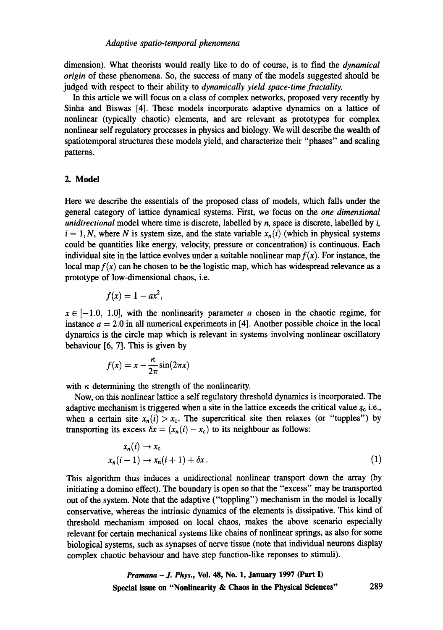dimension). What theorists would really like to do of course, is to find the *dynamical origin* of these phenomena. So, the success of many of the models suggested should be judged with respect to their ability to *dynamically yield space-time fractality.* 

In this article we will focus on a class of complex networks, proposed very recently by Sinha and Biswas [4]. These models incorporate adaptive dynamics on a lattice of nonlinear (typically chaotic) elements, and are relevant as prototypes for complex nonlinear self regulatory processes in physics and biology. We will describe the wealth of spatiotemporal structures these models yield, and characterize their "phases" and scaling patterns.

### 2. Model

Here we describe the essentials of the proposed class of models, which falls under the general category of lattice dynamical systems. First, we focus on the *one dimensional unidirectional* model where time is discrete, labelled by  $n$ , space is discrete, labelled by  $i$ ,  $i = 1, N$ , where N is system size, and the state variable  $x_n(i)$  (which in physical systems could be quantities like energy, velocity, pressure or concentration) is continuous. Each individual site in the lattice evolves under a suitable nonlinear map  $f(x)$ . For instance, the local map  $f(x)$  can be chosen to be the logistic map, which has widespread relevance as a prototype of low-dimensional chaos, i.e.

$$
f(x)=1-ax^2,
$$

 $x \in [-1.0, 1.0]$ , with the nonlinearity parameter a chosen in the chaotic regime, for instance  $a = 2.0$  in all numerical experiments in [4]. Another possible choice in the local dynamics is the circle map which is relevant in systems involving nonlinear oscillatory behaviour [6, 7]. This is given by

$$
f(x) = x - \frac{\kappa}{2\pi} \sin(2\pi x)
$$

with  $\kappa$  determining the strength of the nonlinearity.

Now, on this nonlinear lattice a self regulatory threshold dynamics is incorporated. The adaptive mechanism is triggered when a site in the lattice exceeds the critical value  $x_c$  i.e., when a certain site  $x_n(i) > x_c$ . The supercritical site then relaxes (or "topples") by transporting its excess  $\delta x = (x_n(i) - x_c)$  to its neighbour as follows:

$$
x_n(i) \to x_c
$$
  

$$
x_n(i+1) \to x_n(i+1) + \delta x.
$$
 (1)

This algorithm thus induces a unidirectional nonlinear transport down the array (by initiating a domino effect). The boundary is open so that the "excess" may be transported out of the system. Note that the adaptive ("toppling") mechanism in the model is locally conservative, whereas the intrinsic dynamics of the elements is dissipative. This kind of threshold mechanism imposed on local chaos, makes the above scenario especially relevant for certain mechanical systems like chains of nonlinear springs, as also for some biological systems, such as synapses of nerve tissue (note that individual neurons display complex chaotic behaviour and have step function-like reponses to stimuli).

*Pramana - J. Phys.,* **Vol. 48, No. 1, January 1997 (Part I) Special issue on "Nonlinearity & Chaos in the Physical Sciences" 289**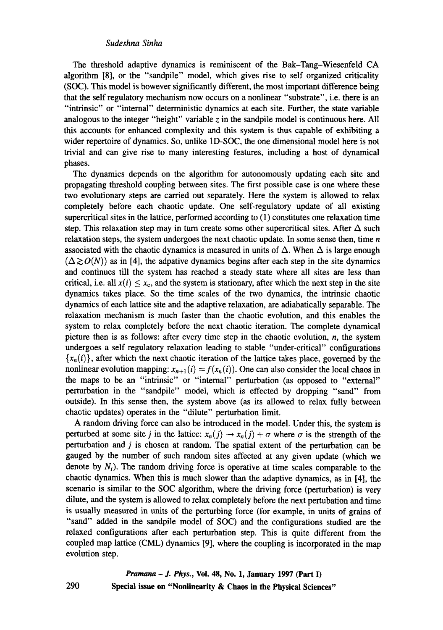### *Sudeshna Sinha*

The threshold adaptive dynamics is reminiscent of the Bak-Tang-Wiesenfeld CA algorithm [8], or the "sandpile" model, which gives rise to self organized criticality (SOC). This model is however significantly different, the most important difference being that the self regulatory mechanism now occurs on a nonlinear "substrate", i.e. there is an "intrinsic" or "internal" deterministic dynamics at each site. Further, the state variable analogous to the integer "height" variable  $z$  in the sandpile model is continuous here. All this accounts for enhanced complexity and this system is thus capable of exhibiting a wider repertoire of dynamics. So, unlike 1D-SOC, the one dimensional model here is not trivial and can give rise to many interesting features, including a host of dynamical phases.

The dynamics depends on the algorithm for autonomously updating each site and propagating threshold coupling between sites. The first possible case is one where these two evolutionary steps are carried out separately. Here the system is allowed to relax completely before each chaotic update. One self-regulatory update of all existing supercritical sites in the lattice, performed according to (1) constitutes one relaxation time step. This relaxation step may in turn create some other supercritical sites. After  $\Delta$  such relaxation steps, the system undergoes the next chaotic update. In some sense then, time  $n$ associated with the chaotic dynamics is measured in units of  $\Delta$ . When  $\Delta$  is large enough  $(\Delta \ge O(N))$  as in [4], the adpative dynamics begins after each step in the site dynamics and continues till the system has reached a steady state where all sites are less than critical, i.e. all  $x(i) \leq x_c$ , and the system is stationary, after which the next step in the site dynamics takes place. So the time scales of the two dynamics, the intrinsic chaotic dynamics of each lattice site and the adaptive relaxation, are adiabatically separable. The relaxation mechanism is much faster than the chaotic evolution, and this enables the system to relax completely before the next chaotic iteration. The complete dynamical picture then is as follows: after every time step in the chaotic evolution,  $n$ , the system undergoes a self regulatory relaxation leading to stable "under-critical" configurations  ${x_n(i)}$ , after which the next chaotic iteration of the lattice takes place, governed by the nonlinear evolution mapping:  $x_{n+1}(i) = f(x_n(i))$ . One can also consider the local chaos in the maps to be an "intrinsic" or "internal" perturbation (as opposed to "external" perturbation in the "sandpile" model, which is effected by dropping "sand" from outside). In this sense then, the system above (as its allowed to relax fully between chaotic updates) operates in the "dilute" perturbation limit.

A random driving force can also be introduced in the model. Under this, the system is perturbed at some site j in the lattice:  $x_n(j) \rightarrow x_n(j) + \sigma$  where  $\sigma$  is the strength of the perturbation and j is chosen at random. The spatial extent of the perturbation can be gauged by the number of such random sites affected at any given update (which we denote by  $N_r$ ). The random driving force is operative at time scales comparable to the chaotic dynamics. When this is much slower than the adaptive dynamics, as in [4], the scenario is similar to the SOC algorithm, where the driving force (perturbation) is very dilute, and the system is allowed to relax completely before the next pertubation and time is usually measured in units of the perturbing force (for example, in units of grains of "sand" added in the sandpile model of SOC) and the configurations studied are the relaxed configurations after each perturbation step. This is quite different from the coupled map lattice (CML) dynamics [9], where the coupling is incorporated in the map evolution step.

> *Pramana - J. Phys.,* **Voi. 48, No. 1, January 1997 (Part I) Special issue on "Nonlinearity & Chaos in the Physical Sciences"**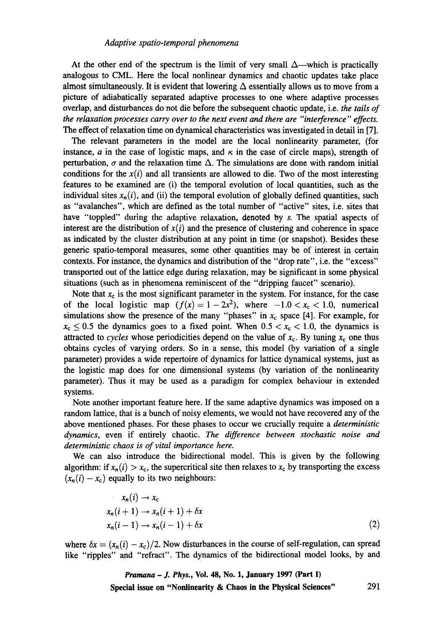### *Adaptive spatio-temporal phenomena*

At the other end of the spectrum is the limit of very small  $\Delta$ —which is practically analogous to CML. Here the local nonlinear dynamics and chaotic updates take place almost simultaneously. It is evident that lowering  $\Delta$  essentially allows us to move from a picture of adiabatically separated adaptive processes to one where adaptive processes overlap, and disturbances do not die before the subsequent chaotic update, i.e. *the tails of the relaxation processes carry over to the next event and there are "interference" effects.*  The effect of relaxation time on dynamical characteristics was investigated in detail in [7].

The relevant parameters in the model are the local nonlinearity parameter, (for instance, a in the case of logistic maps, and  $\kappa$  in the case of circle maps), strength of perturbation,  $\sigma$  and the relaxation time  $\Delta$ . The simulations are done with random initial conditions for the  $x(i)$  and all transients are allowed to die. Two of the most interesting features to be examined are (i) the temporal evolution of local quantities, such as the individual sites  $x_n(i)$ , and (ii) the temporal evolution of globally defined quantities, such as "avalanches", which are defined as the total number of "active" sites, i.e. sites that have "toppled" during the adaptive relaxation, denoted by s. The spatial aspects of interest are the distribution of  $x(i)$  and the presence of clustering and coherence in space as indicated by the cluster distribution at any point in time (or snapshot). Besides these generic spatio-temporal measures, some other quantities may be of interest in certain contexts. For instance, the dynamics and distribution of the "drop rate", i.e. the "excess" transported out of the lattice edge during relaxation, may be significant in some physical situations (such as in phenomena reminiscent of the "dripping faucet" scenario).

Note that  $x_c$  is the most significant parameter in the system. For instance, for the case of the local logistic map  $(f(x) = 1-2x^2)$ , where  $-1.0 < x_c < 1.0$ , numerical simulations show the presence of the many "phases" in  $x_c$  space [4]. For example, for  $x_c \le 0.5$  the dynamics goes to a fixed point. When  $0.5 < x_c < 1.0$ , the dynamics is attracted to *cycles* whose periodicities depend on the value of  $x_c$ . By tuning  $x_c$  one thus obtains cycles of varying orders. So in a sense, this model (by variation of a single parameter) provides a wide repertoire of dynamics for lattice dynamical systems, just as the logistic map does for one dimensional systems (by variation of the nonlinearity parameter). Thus it may be used as a paradigm for complex behaviour in extended systems.

Note another important feature here. If the same adaptive dynamics was imposed on a random lattice, that is a bunch of noisy elements, we would not have recovered any of the above mentioned phases. For these phases to occur we crucially require a *deterministic dynamics,* even if entirely chaotic. *The difference between stochastic noise and deterministic chaos is of vital importance here.* 

We can also introduce the bidirectional model. This is given by the following algorithm: if  $x_n(i) > x_c$ , the supercritical site then relaxes to  $x_c$  by transporting the excess  $(x_n(i) - x_c)$  equally to its two neighbours:

$$
x_n(i) \to x_c
$$
  
\n
$$
x_n(i+1) \to x_n(i+1) + \delta x
$$
  
\n
$$
x_n(i-1) \to x_n(i-1) + \delta x
$$
 (2)

where  $\delta x = (x_n(i) - x_c)/2$ . Now disturbances in the course of self-regulation, can spread like "ripples" and "refract". The dynamics of the bidirectional model looks, by and

> *Pramana - J. Phys.,* **Vol. 48, No. 1, January 1997 (Part I) Special issue on "Nonlinearity & Chaos in the Physical Sciences"** 291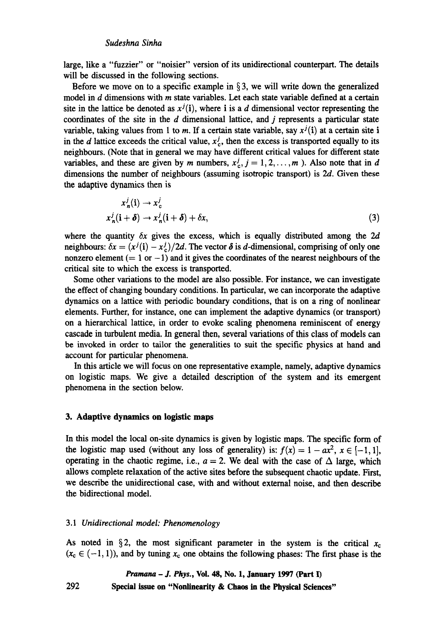large, like a "fuzzier" or "noisier" version of its unidirectional counterpart. The details will be discussed in the following sections.

Before we move on to a specific example in  $\S$ 3, we will write down the generalized model in  $d$  dimensions with  $m$  state variables. Let each state variable defined at a certain site in the lattice be denoted as  $x^{j}(i)$ , where i is a d dimensional vector representing the coordinates of the site in the  $d$  dimensional lattice, and  $j$  represents a particular state variable, taking values from 1 to m. If a certain state variable, say  $x^{j}(i)$  at a certain site i in the d lattice exceeds the critical value,  $x_c^j$ , then the excess is transported equally to its neighbours. (Note that in general we may have different critical values for different state variables, and these are given by m numbers,  $x_c^j$ ,  $j = 1, 2, ..., m$  ). Also note that in d dimensions the number of neighbours (assuming isotropic transport) is  $2d$ . Given these the adaptive dynamics then is

$$
x_n^j(i) \to x_c^j
$$
  
\n
$$
x_n^j(i + \delta) \to x_n^j(i + \delta) + \delta x,
$$
\n(3)

where the quantity  $\delta x$  gives the excess, which is equally distributed among the 2d neighbours:  $\delta x = (x^{j}(i) - x^{j}_{s})/2d$ . The vector  $\delta$  is d-dimensional, comprising of only one nonzero element  $(= 1 \text{ or } -1)$  and it gives the coordinates of the nearest neighbours of the critical site to which the excess is transported.

Some other variations to the model are also possible. For instance, we can investigate the effect of changing boundary conditions. In particular, we can incorporate the adaptive dynamics on a lattice with periodic boundary conditions, that is on a ring of nonlinear dements. Further, for instance, one can implement the adaptive dynamics (or transport) on a hierarchical lattice, in order to evoke scaling phenomena reminiscent of energy cascade in turbulent media. In general then, several variations of this class of models can be invoked in order to tailor the generalities to suit the specific physics at hand and account for particular phenomena.

In this article we will focus on one representative example, namely, adaptive dynamics on logistic maps. We give a detailed description of the system and its emergent phenomena in the section below.

# **3. Adaptive dynamics on logistic maps**

In this model the local on-site dynamics is given by logistic maps. The specific form of the logistic map used (without any loss of generality) is:  $f(x) = 1 - ax^2$ ,  $x \in [-1, 1]$ , operating in the chaotic regime, i.e.,  $a = 2$ . We deal with the case of  $\Delta$  large, which allows complete relaxation of the active sites before the subsequent chaotic update. First, we describe the unidirectional case, with and without external noise, and then describe the bidirectional model.

#### 3.1 *Unidirectional model: Phenomenology*

As noted in §2, the most significant parameter in the system is the critical  $x_c$  $(x_c \in (-1, 1))$ , and by tuning  $x_c$  one obtains the following phases: The first phase is the

*Pramana - J. Phys.,* **VoL 48, No. 1, January 1997 (Part I)** 

**292 Special issue on "Nonlinearity & Chaos in the Physical Sciences"**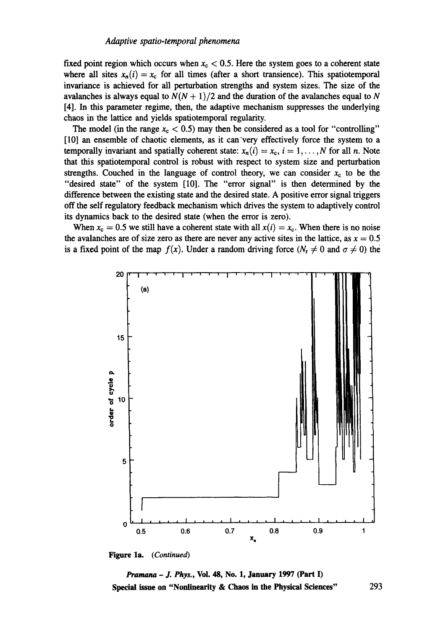fixed point region which occurs when  $x_c < 0.5$ . Here the system goes to a coherent state where all sites  $x_n(i) = x_c$  for all times (after a short transience). This spatiotemporal invariance is achieved for all perturbation strengths and system sizes. The size of the avalanches is always equal to  $N(N + 1)/2$  and the duration of the avalanches equal to N [4]. In this parameter regime, then, the adaptive mechanism suppresses the underlying chaos in the lattice and yields spatiotemporal regularity.

The model (in the range  $x_c < 0.5$ ) may then be considered as a tool for "controlling" [10] an ensemble of chaotic elements, as it can'very effectively force the system to a temporally invariant and spatially coherent state:  $x_n(i) = x_c$ ,  $i = 1, \ldots, N$  for all n. Note that this spatiotemporal control is robust with respect to system size and perturbation strengths. Couched in the language of control theory, we can consider  $x_c$  to be the "desired state" of the system [10]. The "error signal" is then determined by the difference between the existing state and the desired state. A positive error signal triggers off the self regulatory feedback mechanism which drives the system to adaptively control its dynamics back to the desired state (when the error is zero).

When  $x_c = 0.5$  we still have a coherent state with all  $x(i) = x_c$ . When there is no noise the avalanches are of size zero as there are never any active sites in the lattice, as  $x = 0.5$ is a fixed point of the map  $f(x)$ . Under a random driving force ( $N_r \neq 0$  and  $\sigma \neq 0$ ) the



Figure la. *(Continued)* 

*Pramana - J. Phys.,* **Voi. 48, No. 1, January 1997 (Part I) Special issue on "Nonlinearity & Chaos in the Physical Sciences"** 293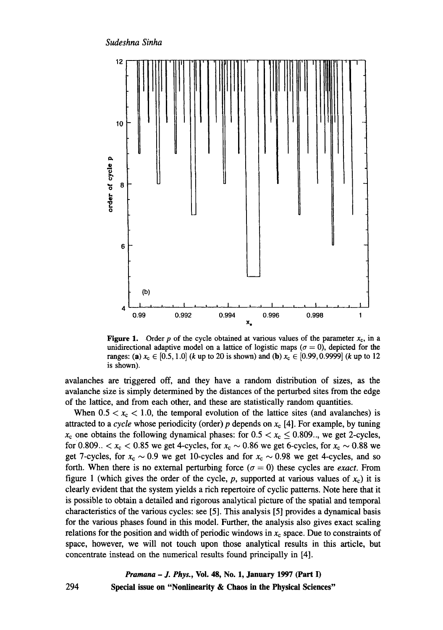*Sudeshna Sinha* 



Figure 1. Order p of the cycle obtained at various values of the parameter  $x_c$ , in a unidirectional adaptive model on a lattice of logistic maps ( $\sigma = 0$ ), depicted for the ranges: (a)  $x_c \in [0.5, 1.0]$  (k up to 20 is shown) and (b)  $x_c \in [0.99, 0.9999]$  (k up to 12 is shown).

avalanches are triggered off, and they have a random distribution of sizes, as the avalanche size is simply determined by the distances of the perturbed sites from the edge of the lattice, and from each other, and these are statistically random quantities.

When  $0.5 < x_c < 1.0$ , the temporal evolution of the lattice sites (and avalanches) is attracted to a *cycle* whose periodicity (order) p depends on  $x_c$  [4]. For example, by tuning  $x_c$  one obtains the following dynamical phases: for  $0.5 < x_c \le 0.809...$ , we get 2-cycles, for 0.809..  $\lt x_c \lt 0.85$  we get 4-cycles, for  $x_c \sim 0.86$  we get 6-cycles, for  $x_c \sim 0.88$  we get 7-cycles, for  $x_c \sim 0.9$  we get 10-cycles and for  $x_c \sim 0.98$  we get 4-cycles, and so forth. When there is no external perturbing force  $(\sigma = 0)$  these cycles are *exact*. From figure 1 (which gives the order of the cycle, p, supported at various values of  $x_c$ ) it is clearly evident that the system yields a rich repertoire of cyclic patterns. Note here that it is possible to obtain a detailed and rigorous analytical picture of the spatial and temporal characteristics of the various cycles: see [5]. This analysis [5] provides a dynamical basis for the various phases found in this model. Further, the analysis also gives exact scaling relations for the position and width of periodic windows in  $x_c$  space. Due to constraints of space, however, we will not touch upon those analytical results in this article, but concentrate instead on the numerical results found principally in [4].

# *Pramana - J. Phys.,* **Vol. 48, No. 1, January 1997 (Part I) Special issue on "Nonlinearity & Chaos in the Physical Sciences"**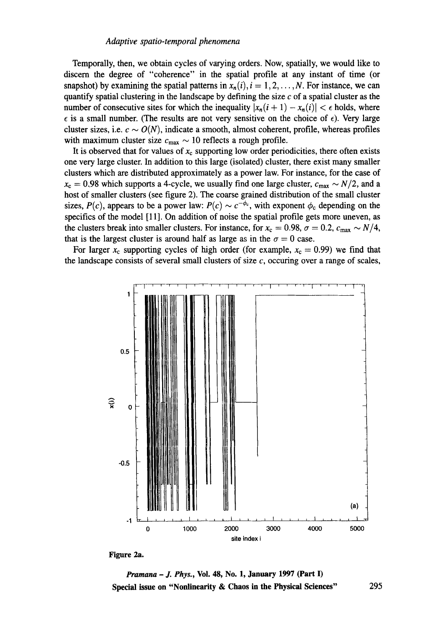Temporally, then, we obtain cycles of varying orders. Now, spatially, we would like to discern the degree of "coherence" in the spatial profile at any instant of time (or snapshot) by examining the spatial patterns in  $x_n(i)$ ,  $i = 1, 2, \ldots, N$ . For instance, we can quantify spatial clustering in the landscape by defining the size  $c$  of a spatial cluster as the number of consecutive sites for which the inequality  $|x_n(i+1) - x_n(i)| < \epsilon$  holds, where  $\epsilon$  is a small number. (The results are not very sensitive on the choice of  $\epsilon$ ). Very large cluster sizes, i.e.  $c \sim O(N)$ , indicate a smooth, almost coherent, profile, whereas profiles with maximum cluster size  $c_{\text{max}} \sim 10$  reflects a rough profile.

It is observed that for values of  $x_c$  supporting low order periodicities, there often exists one very large cluster. In addition to this large (isolated) cluster, there exist many smaller clusters which are distributed approximately as a power law. For instance, for the case of  $x_c = 0.98$  which supports a 4-cycle, we usually find one large cluster,  $c_{\text{max}} \sim N/2$ , and a host of smaller clusters (see figure 2). The coarse grained distribution of the small cluster sizes,  $P(c)$ , appears to be a power law:  $P(c) \sim c^{-\phi_c}$ , with exponent  $\phi_c$  depending on the specifics of the model [11]. On addition of noise the spatial profile gets more uneven, as the clusters break into smaller clusters. For instance, for  $x_c = 0.98$ ,  $\sigma = 0.2$ ,  $c_{\text{max}} \sim N/4$ , that is the largest cluster is around half as large as in the  $\sigma = 0$  case.

For larger  $x_c$  supporting cycles of high order (for example,  $x_c = 0.99$ ) we find that the landscape consists of several small clusters of size  $c$ , occuring over a range of scales,



**Figure 2a.** 

*Pramana - J. Phys.,* **Vol. 48, No. 1, January 1997 (Part I) Special issue on "Nonlinearity & Chaos in the Physical Sciences"**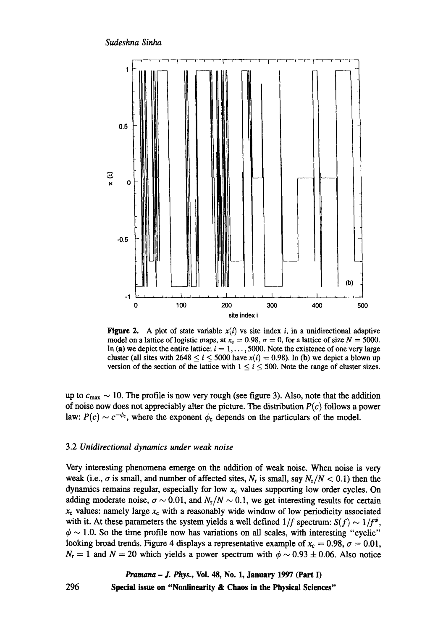*Sudeshna Sinha* 



**Figure 2.** A plot of state variable  $x(i)$  vs site index i, in a unidirectional adaptive model on a lattice of logistic maps, at  $x_c = 0.98$ ,  $\sigma = 0$ , for a lattice of size  $N = 5000$ . In (a) we depict the entire lattice:  $i = 1, \ldots, 5000$ . Note the existence of one very large cluster (all sites with  $2648 \le i \le 5000$  have  $x(i) = 0.98$ ). In (b) we depict a blown up version of the section of the lattice with  $1 \le i \le 500$ . Note the range of cluster sizes.

up to  $c_{\text{max}} \sim 10$ . The profile is now very rough (see figure 3). Also, note that the addition of noise now does not appreciably alter the picture. The distribution *P(c)* follows a power law:  $P(c) \sim c^{-\phi_c}$ , where the exponent  $\phi_c$  depends on the particulars of the model.

### 3.2 *Unidirectional dynamics under weak noise*

Very interesting phenomena emerge on the addition of weak noise. When noise is very weak (i.e.,  $\sigma$  is small, and number of affected sites,  $N_r$  is small, say  $N_r/N < 0.1$ ) then the dynamics remains regular, especially for low  $x_c$  values supporting low order cycles. On adding moderate noise,  $\sigma \sim 0.01$ , and  $N_{\rm r}/N \sim 0.1$ , we get interesting results for certain  $x_c$  values: namely large  $x_c$  with a reasonably wide window of low periodicity associated with it. At these parameters the system yields a well defined  $1/f$  spectrum:  $S(f) \sim 1/f^{\phi}$ ,  $\phi \sim 1.0$ . So the time profile now has variations on all scales, with interesting "cyclic" looking broad trends. Figure 4 displays a representative example of  $x_c = 0.98$ ,  $\sigma = 0.01$ ,  $N_{\rm r} = 1$  and  $N = 20$  which yields a power spectrum with  $\phi \sim 0.93 \pm 0.06$ . Also notice

> *Pramana - J. Phys.,* **Vol. 48, No. 1, January 1997 (Part I) Special issue on "Nonlinearity & Chaos in the Physical Sciences"**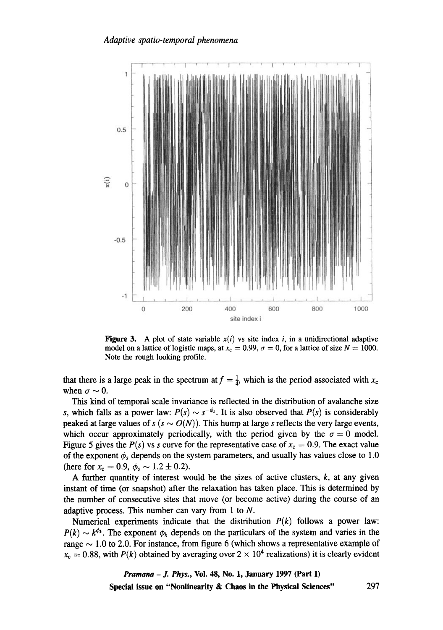### *Adaptive spatio-temporal phenomena*



**Figure 3.** A plot of state variable  $x(i)$  vs site index i, in a unidirectional adaptive model on a lattice of logistic maps, at  $x_c = 0.99$ ,  $\sigma = 0$ , for a lattice of size  $N = 1000$ . Note the rough looking profile.

that there is a large peak in the spectrum at  $f = \frac{1}{4}$ , which is the period associated with  $x_c$ when  $\sigma \sim 0$ .

This kind of temporal scale invariance is reflected in the distribution of avalanche size s, which falls as a power law:  $P(s) \sim s^{-\phi_s}$ . It is also observed that  $P(s)$  is considerably peaked at large values of  $s$  ( $s \sim O(N)$ ). This hump at large s reflects the very large events, which occur approximately periodically, with the period given by the  $\sigma = 0$  model. Figure 5 gives the  $P(s)$  vs s curve for the representative case of  $x_c = 0.9$ . The exact value of the exponent  $\phi_s$  depends on the system parameters, and usually has values close to 1.0 (here for  $x_c = 0.9$ ,  $\phi_s \sim 1.2 \pm 0.2$ ).

A further quantity of interest would be the sizes of active clusters,  $k$ , at any given instant of time (or snapshot) after the relaxation has taken place. This is determined by the number of consecutive sites that move (or become active) during the course of an adaptive process. This number can vary from 1 to N.

Numerical experiments indicate that the distribution  $P(k)$  follows a power law:  $P(k) \sim k^{\phi_k}$ . The exponent  $\phi_k$  depends on the particulars of the system and varies in the range  $\sim$  1.0 to 2.0. For instance, from figure 6 (which shows a representative example of  $x_c = 0.88$ , with  $P(k)$  obtained by averaging over  $2 \times 10^4$  realizations) it is clearly evident

> *Pramana - J. Phys.,* **Vol. 48, No. I, January 1997 (Part I) Special issue on "Nonlinearity & Chaos in the Physical Sciences"** 297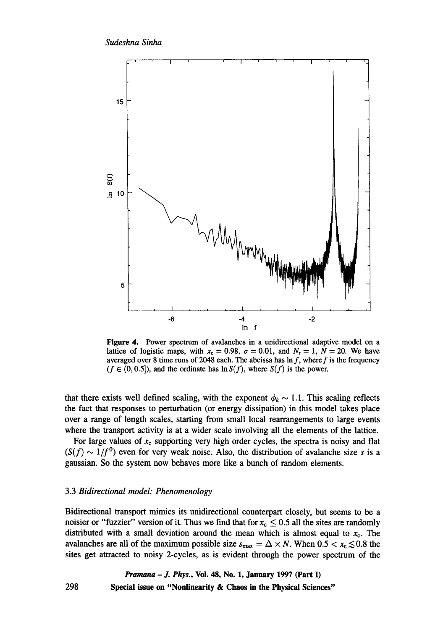

Figure 4. Power spectrum of avalanches in a unidirectional adaptive model on a lattice of logistic maps, with  $x_c = 0.98$ ,  $\sigma = 0.01$ , and  $N_r = 1$ ,  $N = 20$ . We have averaged over 8 time runs of 2048 each. The abcissa has  $\ln f$ , where f is the frequency  $(f \in (0, 0.5])$ , and the ordinate has  $\ln S(f)$ , where  $S(f)$  is the power.

that there exists well defined scaling, with the exponent  $\phi_k \sim 1.1$ . This scaling reflects the fact that responses to perturbation (or energy dissipation) in this model takes place over a range of length scales, starting from small local rearrangements to large events where the transport activity is at a wider scale involving all the elements of the lattice.

For large values of  $x_c$  supporting very high order cycles, the spectra is noisy and flat  $(S(f) \sim 1/f^0)$  even for very weak noise. Also, the distribution of avalanche size s is a gaussian. So the system now behaves more like a bunch of random elements.

#### 3.3 *Bidirectional model: Phenomenology*

Bidirectional transport mimics its unidirectional counterpart closely, but seems to be a noisier or "fuzzier" version of it. Thus we find that for  $x_c \le 0.5$  all the sites are randomly distributed with a small deviation around the mean which is almost equal to  $x_c$ . The avalanches are all of the maximum possible size  $s_{\text{max}} = \Delta \times N$ . When  $0.5 < x_c \leq 0.8$  the sites get attracted to noisy 2-cycles, as is evident through the power spectrum of the

# *Pramana - J. Phys.,* **Vol. 48, No. 1, January 1997 (Part I) Special issue on "Nonlinearity & Chaos in the Physical Sciences"**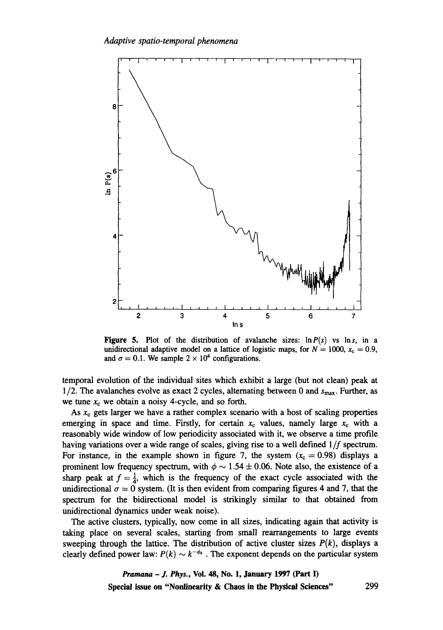

**Figure 5.** Plot of the distribution of avalanche sizes:  $\ln P(s)$  vs  $\ln s$ , in a unidirectional adaptive model on a lattice of logistic maps, for  $N = 1000$ ,  $x_c = 0.9$ , and  $\sigma = 0.1$ . We sample  $2 \times 10^4$  configurations.

temporal evolution of the individual sites which exhibit a large (but not clean) peak at 1/2. The avalanches evolve as exact 2 cycles, alternating between 0 and  $s_{\text{max}}$ . Further, as we tune  $x_c$  we obtain a noisy 4-cycle, and so forth.

As  $x_c$  gets larger we have a rather complex scenario with a host of scaling properties emerging in space and time. Firstly, for certain  $x_c$  values, namely large  $x_c$  with a reasonably wide window of low periodicity associated with it, we observe a time profile having variations over a wide range of scales, giving rise to a well defined *1If* spectrum. For instance, in the example shown in figure 7, the system  $(x_c = 0.98)$  displays a prominent low frequency spectrum, with  $\phi \sim 1.54 \pm 0.06$ . Note also, the existence of a sharp peak at  $f = \frac{1}{4}$ , which is the frequency of the exact cycle associated with the unidirectional  $\sigma = 0$  system. (It is then evident from comparing figures 4 and 7, that the spectrum for the bidirectional model is strikingly similar to that obtained from unidirectional dynamics under weak noise).

The active clusters, typically, now come in all sizes, indicating again that activity is taking place on several scales, starting from small rearrangements to large events sweeping through the lattice. The distribution of active cluster sizes  $P(k)$ , displays a clearly defined power law:  $P(k) \sim k^{-\phi_k}$ . The exponent depends on the particular system

> *Pramana - Y. Phys.,* **Vol. 48, No. 1, January 1997 (Part I) Special issue on "Nonlinearity & Chaos in the Physical Sciences"** 299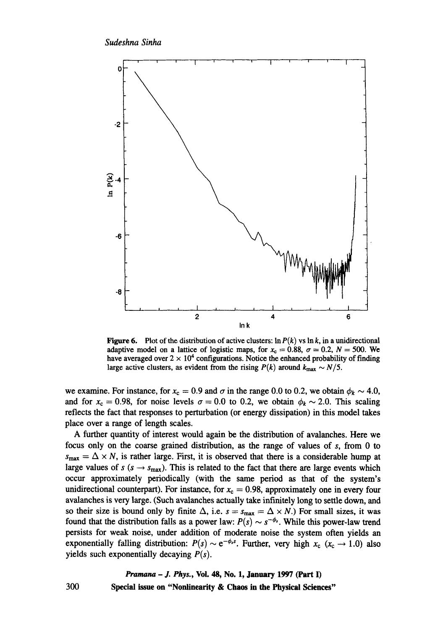

**Figure 6.** Plot of the distribution of active clusters:  $\ln P(k)$  vs  $\ln k$ , in a unidirectional adaptive model on a lattice of logistic maps, for  $x_c = 0.88$ ,  $\sigma = 0.2$ ,  $N = 500$ . We have averaged over  $2 \times 10^4$  configurations. Notice the enhanced probability of finding large active clusters, as evident from the rising  $P(k)$  around  $k_{\text{max}} \sim N/5$ .

we examine. For instance, for  $x_c = 0.9$  and  $\sigma$  in the range 0.0 to 0.2, we obtain  $\phi_k \sim 4.0$ , and for  $x_c = 0.98$ , for noise levels  $\sigma = 0.0$  to 0.2, we obtain  $\phi_k \sim 2.0$ . This scaling reflects the fact that responses to perturbation (or energy dissipation) in this model takes place over a range of length scales.

A further quantity of interest would again be the distribution of avalanches. Here we focus only on the coarse grained distribution, as the range of values of s, from 0 to  $s_{\text{max}} = \Delta \times N$ , is rather large. First, it is observed that there is a considerable hump at large values of s (s  $\rightarrow$  s<sub>max</sub>). This is related to the fact that there are large events which occur approximately periodically (with the same period as that of the system's unidirectional counterpart). For instance, for  $x_c = 0.98$ , approximately one in every four avalanches is very large. (Such avalanches actually take infinitely long to settle down, and so their size is bound only by finite  $\Delta$ , i.e.  $s = s_{\text{max}} = \Delta \times N$ .) For small sizes, it was found that the distribution falls as a power law:  $P(s) \sim s^{-\phi}$ . While this power-law trend persists for weak noise, under addition of moderate noise the system often yields an exponentially falling distribution:  $P(s) \sim e^{-\phi_s s}$ . Further, very high  $x_c$  ( $x_c \rightarrow 1.0$ ) also yields such exponentially decaying *P(s).* 

# *Pramana - J. Phys.,* Vol. 48, No. 1, January 1997 (Part 1) Special issue **on "Nonlinearity & Chaos in the Physical Sciences"**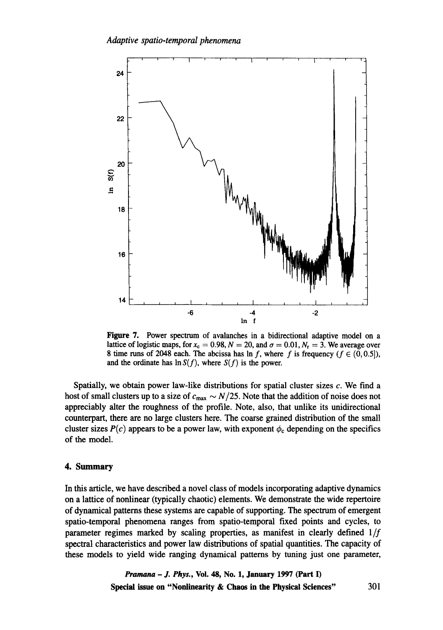

Figure 7. Power spectrum of avalanches in a bidirectional adaptive model on a lattice of logistic maps, for  $x_c = 0.98$ ,  $N = 20$ , and  $\sigma = 0.01$ ,  $N_r = 3$ . We average over 8 time runs of 2048 each. The abcissa has  $\ln f$ , where f is frequency ( $f \in (0, 0.5]$ ), and the ordinate has  $\ln S(f)$ , where  $S(f)$  is the power.

Spatially, we obtain power law-like distributions for spatial cluster sizes  $c$ . We find a host of small clusters up to a size of  $c_{\text{max}} \sim N/25$ . Note that the addition of noise does not appreciably alter the roughness of the profile. Note, also, that unlike its unidirectional counterpart, there are no large clusters here. The coarse grained distribution of the small cluster sizes  $P(c)$  appears to be a power law, with exponent  $\phi_c$  depending on the specifics of the model.

### **4. Summary**

In this article, we have described a novel class of models incorporating adaptive dynamics on a lattice of nonlinear (typically chaotic) elements. We demonstrate the wide repertoire of dynamical patterns these systems are capable of supporting. The spectrum of emergent spatio-temporal phenomena ranges from spatio-temporal fixed points and cycles, to parameter regimes marked by scaling properties, as manifest in clearly defined  $1/f$ spectral characteristics and power law distributions of spatial quantities. The capacity of these models to yield wide ranging dynamical patterns by tuning just one parameter,

> *Pranmna - J. Phys.,* **Vol. 48, No. 1, January 1997 (Part I) Special issue on "Nonlinearity & Chaos in the Physical Sciences"** 301